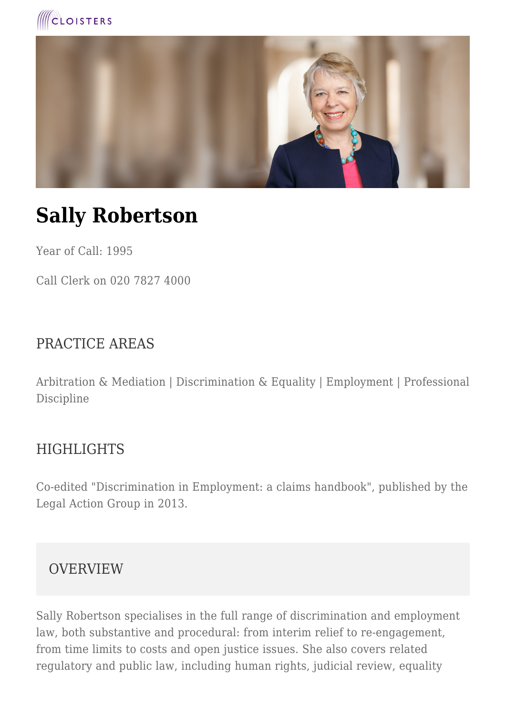



# **Sally Robertson**

Year of Call: 1995

Call Clerk on 020 7827 4000

#### PRACTICE AREAS

Arbitration & Mediation | Discrimination & Equality | Employment | Professional Discipline

#### HIGHLIGHTS

Co-edited "Discrimination in Employment: a claims handbook", published by the Legal Action Group in 2013.

#### OVERVIEW

Sally Robertson specialises in the full range of discrimination and employment law, both substantive and procedural: from interim relief to re-engagement, from time limits to costs and open justice issues. She also covers related regulatory and public law, including human rights, judicial review, equality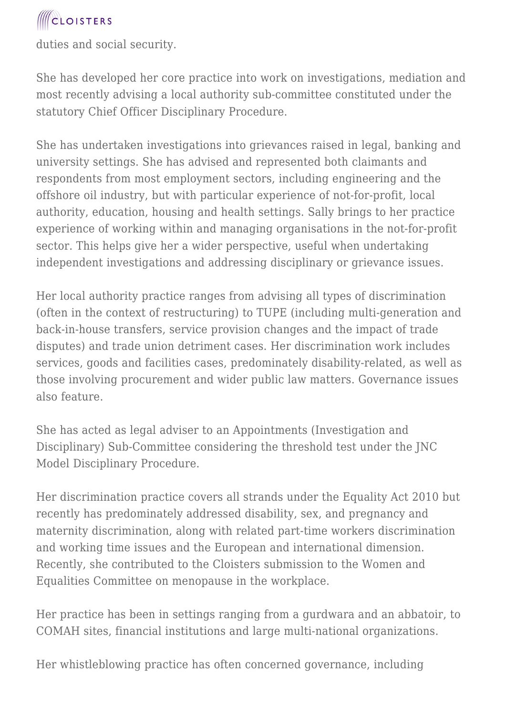duties and social security.

She has developed her core practice into work on investigations, mediation and most recently advising a local authority sub-committee constituted under the statutory Chief Officer Disciplinary Procedure.

She has undertaken investigations into grievances raised in legal, banking and university settings. She has advised and represented both claimants and respondents from most employment sectors, including engineering and the offshore oil industry, but with particular experience of not-for-profit, local authority, education, housing and health settings. Sally brings to her practice experience of working within and managing organisations in the not-for-profit sector. This helps give her a wider perspective, useful when undertaking independent investigations and addressing disciplinary or grievance issues.

Her local authority practice ranges from advising all types of discrimination (often in the context of restructuring) to TUPE (including multi-generation and back-in-house transfers, service provision changes and the impact of trade disputes) and trade union detriment cases. Her discrimination work includes services, goods and facilities cases, predominately disability-related, as well as those involving procurement and wider public law matters. Governance issues also feature.

She has acted as legal adviser to an Appointments (Investigation and Disciplinary) Sub-Committee considering the threshold test under the JNC Model Disciplinary Procedure.

Her discrimination practice covers all strands under the Equality Act 2010 but recently has predominately addressed disability, sex, and pregnancy and maternity discrimination, along with related part-time workers discrimination and working time issues and the European and international dimension. Recently, she contributed to the Cloisters submission to the Women and Equalities Committee on menopause in the workplace.

Her practice has been in settings ranging from a gurdwara and an abbatoir, to COMAH sites, financial institutions and large multi-national organizations.

Her whistleblowing practice has often concerned governance, including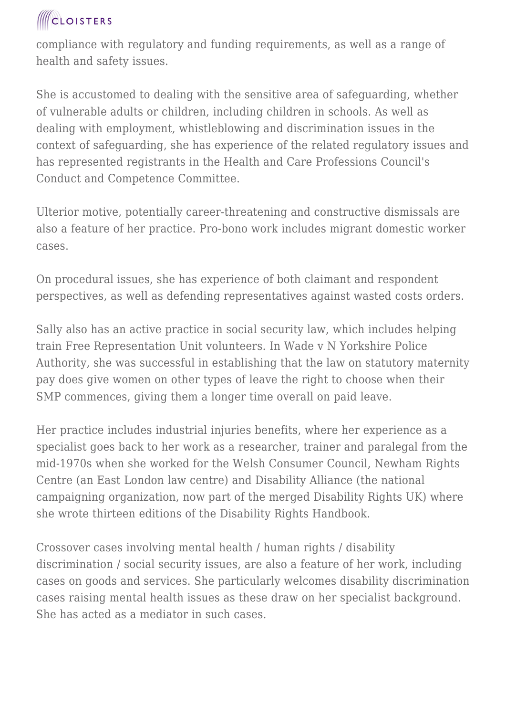compliance with regulatory and funding requirements, as well as a range of health and safety issues.

She is accustomed to dealing with the sensitive area of safeguarding, whether of vulnerable adults or children, including children in schools. As well as dealing with employment, whistleblowing and discrimination issues in the context of safeguarding, she has experience of the related regulatory issues and has represented registrants in the Health and Care Professions Council's Conduct and Competence Committee.

Ulterior motive, potentially career-threatening and constructive dismissals are also a feature of her practice. Pro-bono work includes migrant domestic worker cases.

On procedural issues, she has experience of both claimant and respondent perspectives, as well as defending representatives against wasted costs orders.

Sally also has an active practice in social security law, which includes helping train Free Representation Unit volunteers. In Wade v N Yorkshire Police Authority, she was successful in establishing that the law on statutory maternity pay does give women on other types of leave the right to choose when their SMP commences, giving them a longer time overall on paid leave.

Her practice includes industrial injuries benefits, where her experience as a specialist goes back to her work as a researcher, trainer and paralegal from the mid-1970s when she worked for the Welsh Consumer Council, Newham Rights Centre (an East London law centre) and Disability Alliance (the national campaigning organization, now part of the merged Disability Rights UK) where she wrote thirteen editions of the Disability Rights Handbook.

Crossover cases involving mental health / human rights / disability discrimination / social security issues, are also a feature of her work, including cases on goods and services. She particularly welcomes disability discrimination cases raising mental health issues as these draw on her specialist background. She has acted as a mediator in such cases.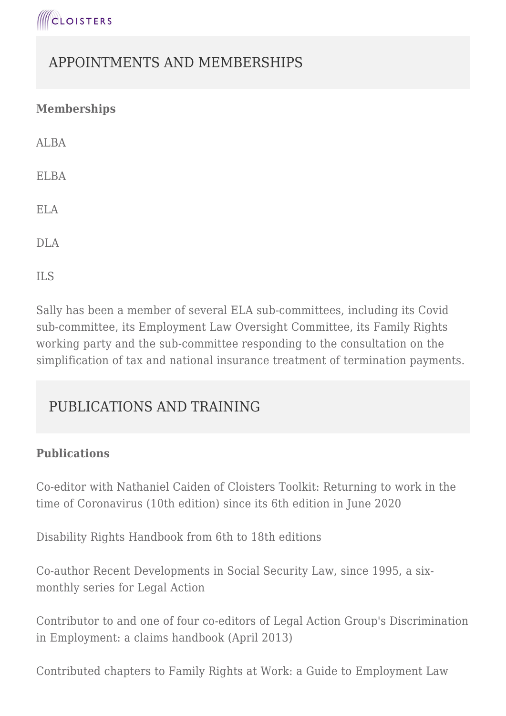

### APPOINTMENTS AND MEMBERSHIPS

#### **Memberships**

ALBA

ELBA

ELA

DLA

ILS

Sally has been a member of several ELA sub-committees, including its Covid sub-committee, its Employment Law Oversight Committee, its Family Rights working party and the sub-committee responding to the consultation on the simplification of tax and national insurance treatment of termination payments.

### PUBLICATIONS AND TRAINING

#### **Publications**

Co-editor with Nathaniel Caiden of Cloisters Toolkit: Returning to work in the time of Coronavirus (10th edition) since its 6th edition in June 2020

Disability Rights Handbook from 6th to 18th editions

Co-author Recent Developments in Social Security Law, since 1995, a sixmonthly series for Legal Action

Contributor to and one of four co-editors of Legal Action Group's Discrimination in Employment: a claims handbook (April 2013)

Contributed chapters to Family Rights at Work: a Guide to Employment Law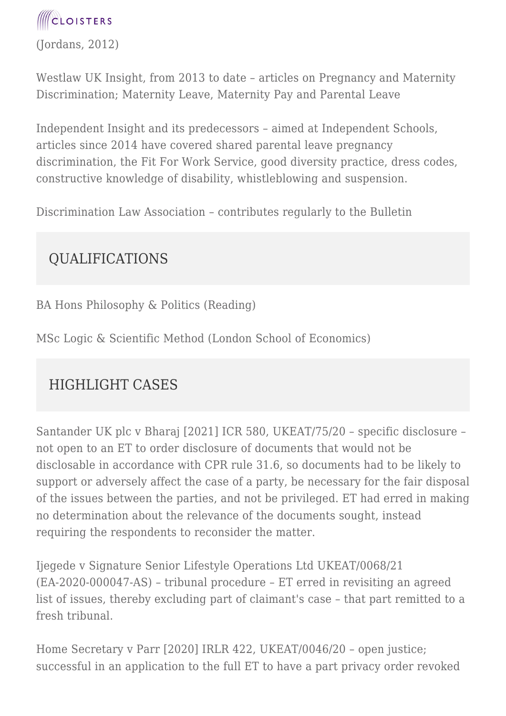(Jordans, 2012)

Westlaw UK Insight, from 2013 to date – articles on Pregnancy and Maternity Discrimination; Maternity Leave, Maternity Pay and Parental Leave

Independent Insight and its predecessors – aimed at Independent Schools, articles since 2014 have covered shared parental leave pregnancy discrimination, the Fit For Work Service, good diversity practice, dress codes, constructive knowledge of disability, whistleblowing and suspension.

Discrimination Law Association – contributes regularly to the Bulletin

### QUALIFICATIONS

BA Hons Philosophy & Politics (Reading)

MSc Logic & Scientific Method (London School of Economics)

### HIGHLIGHT CASES

Santander UK plc v Bharaj [2021] ICR 580, UKEAT/75/20 – specific disclosure – not open to an ET to order disclosure of documents that would not be disclosable in accordance with CPR rule 31.6, so documents had to be likely to support or adversely affect the case of a party, be necessary for the fair disposal of the issues between the parties, and not be privileged. ET had erred in making no determination about the relevance of the documents sought, instead requiring the respondents to reconsider the matter.

Ijegede v Signature Senior Lifestyle Operations Ltd UKEAT/0068/21 (EA-2020-000047-AS) – tribunal procedure – ET erred in revisiting an agreed list of issues, thereby excluding part of claimant's case – that part remitted to a fresh tribunal.

Home Secretary v Parr [2020] IRLR 422, UKEAT/0046/20 – open justice; successful in an application to the full ET to have a part privacy order revoked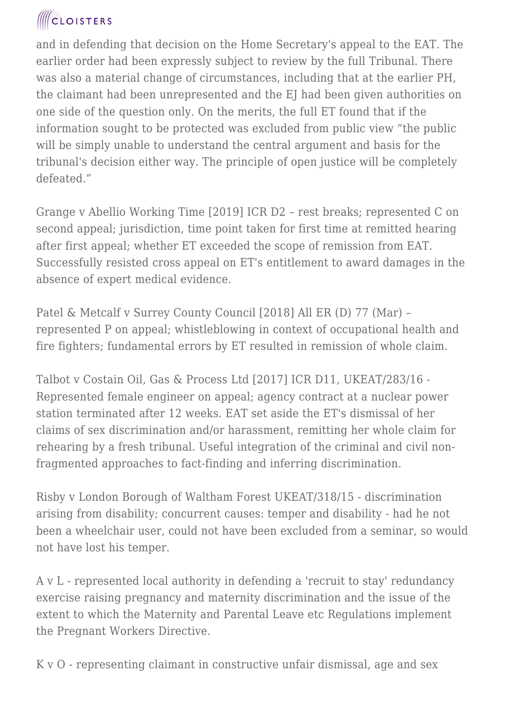and in defending that decision on the Home Secretary's appeal to the EAT. The earlier order had been expressly subject to review by the full Tribunal. There was also a material change of circumstances, including that at the earlier PH, the claimant had been unrepresented and the EJ had been given authorities on one side of the question only. On the merits, the full ET found that if the information sought to be protected was excluded from public view "the public will be simply unable to understand the central argument and basis for the tribunal's decision either way. The principle of open justice will be completely defeated."

Grange v Abellio Working Time [2019] ICR D2 – rest breaks; represented C on second appeal; jurisdiction, time point taken for first time at remitted hearing after first appeal; whether ET exceeded the scope of remission from EAT. Successfully resisted cross appeal on ET's entitlement to award damages in the absence of expert medical evidence.

Patel & Metcalf v Surrey County Council [2018] All ER (D) 77 (Mar) – represented P on appeal; whistleblowing in context of occupational health and fire fighters; fundamental errors by ET resulted in remission of whole claim.

Talbot v Costain Oil, Gas & Process Ltd [2017] ICR D11, UKEAT/283/16 - Represented female engineer on appeal; agency contract at a nuclear power station terminated after 12 weeks. EAT set aside the ET's dismissal of her claims of sex discrimination and/or harassment, remitting her whole claim for rehearing by a fresh tribunal. Useful integration of the criminal and civil nonfragmented approaches to fact-finding and inferring discrimination.

Risby v London Borough of Waltham Forest UKEAT/318/15 - discrimination arising from disability; concurrent causes: temper and disability - had he not been a wheelchair user, could not have been excluded from a seminar, so would not have lost his temper.

A v L - represented local authority in defending a 'recruit to stay' redundancy exercise raising pregnancy and maternity discrimination and the issue of the extent to which the Maternity and Parental Leave etc Regulations implement the Pregnant Workers Directive.

K v O - representing claimant in constructive unfair dismissal, age and sex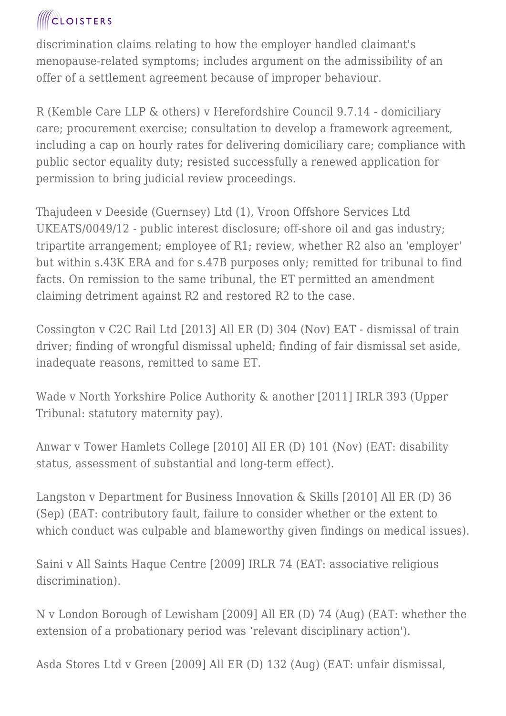discrimination claims relating to how the employer handled claimant's menopause-related symptoms; includes argument on the admissibility of an offer of a settlement agreement because of improper behaviour.

R (Kemble Care LLP & others) v Herefordshire Council 9.7.14 - domiciliary care; procurement exercise; consultation to develop a framework agreement, including a cap on hourly rates for delivering domiciliary care; compliance with public sector equality duty; resisted successfully a renewed application for permission to bring judicial review proceedings.

Thajudeen v Deeside (Guernsey) Ltd (1), Vroon Offshore Services Ltd UKEATS/0049/12 - public interest disclosure; off-shore oil and gas industry; tripartite arrangement; employee of R1; review, whether R2 also an 'employer' but within s.43K ERA and for s.47B purposes only; remitted for tribunal to find facts. On remission to the same tribunal, the ET permitted an amendment claiming detriment against R2 and restored R2 to the case.

Cossington v C2C Rail Ltd [2013] All ER (D) 304 (Nov) EAT - dismissal of train driver; finding of wrongful dismissal upheld; finding of fair dismissal set aside, inadequate reasons, remitted to same ET.

Wade v North Yorkshire Police Authority & another [2011] IRLR 393 (Upper Tribunal: statutory maternity pay).

Anwar v Tower Hamlets College [2010] All ER (D) 101 (Nov) (EAT: disability status, assessment of substantial and long-term effect).

Langston v Department for Business Innovation & Skills [2010] All ER (D) 36 (Sep) (EAT: contributory fault, failure to consider whether or the extent to which conduct was culpable and blameworthy given findings on medical issues).

Saini v All Saints Haque Centre [2009] IRLR 74 (EAT: associative religious discrimination).

N v London Borough of Lewisham [2009] All ER (D) 74 (Aug) (EAT: whether the extension of a probationary period was 'relevant disciplinary action').

Asda Stores Ltd v Green [2009] All ER (D) 132 (Aug) (EAT: unfair dismissal,